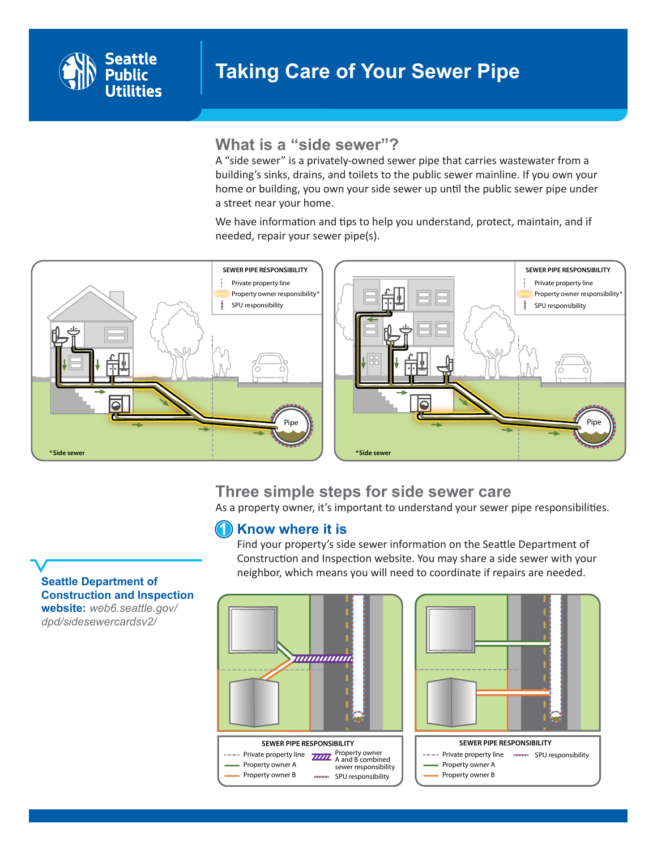

# **What is a "side sewer"?**

A "side sewer" is a privately-owned sewer pipe that carries wastewater from a building's sinks, drains, and toilets to the public sewer mainline. If you own your home or building, you own your side sewer up until the public sewer pipe under a street near your home.

> We have information and tips to help you understand, protect, maintain, and if needed, repair your sewer pipe(s).



### **Three simple steps for side sewer care** Property owner B

As a property owner, it's important to understand your sewer pipe responsibilities. Property owner responsibility\*

### Know where it is  $(1)$

Find your property's side sewer information on the Seattle Department of **Solution and Inspection website. You may share a side sewer with your**<br>**Side sewer with property with a separate side server with your** property are peached neighbor, which means you will need to coordinate if repairs are needed.





**[Seattle Department of](http://web6.seattle.gov/dpd/sidesewercardsv2/)  [Construction and Inspection](http://web6.seattle.gov/dpd/sidesewercardsv2/)  [website:](http://web6.seattle.gov/dpd/sidesewercardsv2/)** *[web6.seattle.gov/](http://web6.seattle.gov/dpd/sidesewercardsv2/) [dpd/sidesewercardsv2/](http://web6.seattle.gov/dpd/sidesewercardsv2/)*